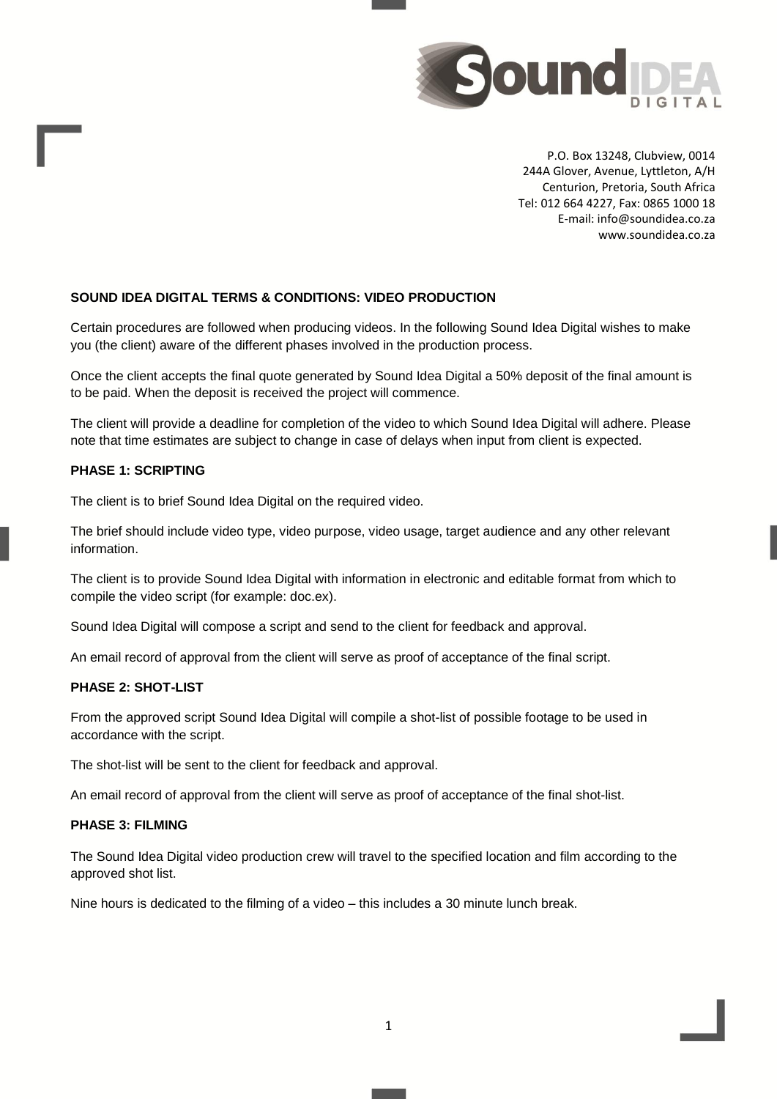

P.O. Box 13248, Clubview, 0014 244A Glover, Avenue, Lyttleton, A/H Centurion, Pretoria, South Africa Tel: 012 664 4227, Fax: 0865 1000 18 E-mail: info@soundidea.co.za www.soundidea.co.za

## **SOUND IDEA DIGITAL TERMS & CONDITIONS: VIDEO PRODUCTION**

Certain procedures are followed when producing videos. In the following Sound Idea Digital wishes to make you (the client) aware of the different phases involved in the production process.

Once the client accepts the final quote generated by Sound Idea Digital a 50% deposit of the final amount is to be paid. When the deposit is received the project will commence.

The client will provide a deadline for completion of the video to which Sound Idea Digital will adhere. Please note that time estimates are subject to change in case of delays when input from client is expected.

## **PHASE 1: SCRIPTING**

The client is to brief Sound Idea Digital on the required video.

The brief should include video type, video purpose, video usage, target audience and any other relevant information.

The client is to provide Sound Idea Digital with information in electronic and editable format from which to compile the video script (for example: doc.ex).

Sound Idea Digital will compose a script and send to the client for feedback and approval.

An email record of approval from the client will serve as proof of acceptance of the final script.

## **PHASE 2: SHOT-LIST**

From the approved script Sound Idea Digital will compile a shot-list of possible footage to be used in accordance with the script.

The shot-list will be sent to the client for feedback and approval.

An email record of approval from the client will serve as proof of acceptance of the final shot-list.

## **PHASE 3: FILMING**

The Sound Idea Digital video production crew will travel to the specified location and film according to the approved shot list.

Nine hours is dedicated to the filming of a video – this includes a 30 minute lunch break.